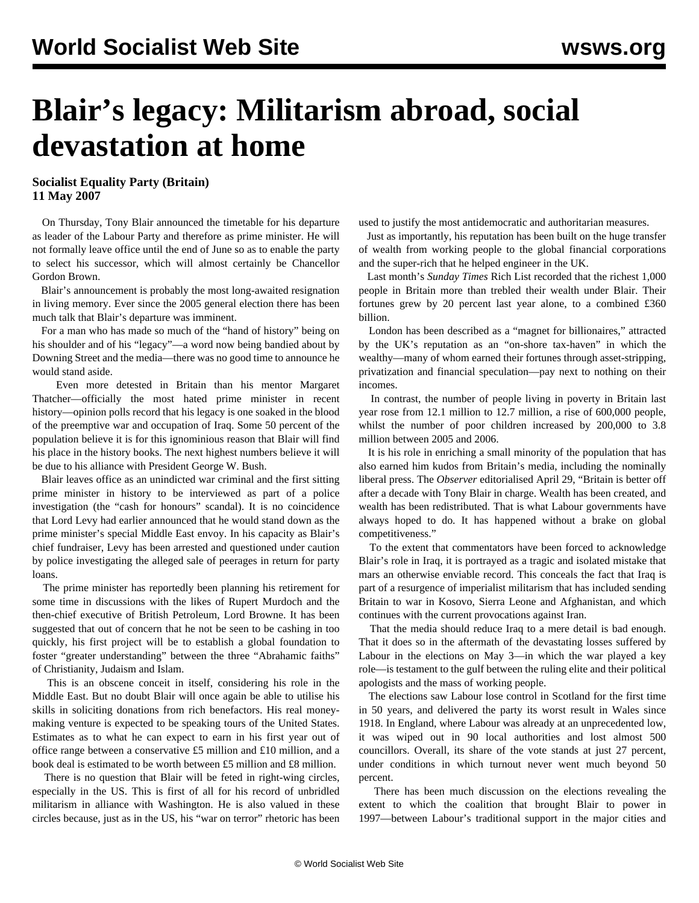## **Blair's legacy: Militarism abroad, social devastation at home**

**Socialist Equality Party (Britain) 11 May 2007**

 On Thursday, Tony Blair announced the timetable for his departure as leader of the Labour Party and therefore as prime minister. He will not formally leave office until the end of June so as to enable the party to select his successor, which will almost certainly be Chancellor Gordon Brown.

 Blair's announcement is probably the most long-awaited resignation in living memory. Ever since the 2005 general election there has been much talk that Blair's departure was imminent.

 For a man who has made so much of the "hand of history" being on his shoulder and of his "legacy"—a word now being bandied about by Downing Street and the media—there was no good time to announce he would stand aside.

 Even more detested in Britain than his mentor Margaret Thatcher—officially the most hated prime minister in recent history—opinion polls record that his legacy is one soaked in the blood of the preemptive war and occupation of Iraq. Some 50 percent of the population believe it is for this ignominious reason that Blair will find his place in the history books. The next highest numbers believe it will be due to his alliance with President George W. Bush.

 Blair leaves office as an unindicted war criminal and the first sitting prime minister in history to be interviewed as part of a police investigation (the "cash for honours" scandal). It is no coincidence that Lord Levy had earlier announced that he would stand down as the prime minister's special Middle East envoy. In his capacity as Blair's chief fundraiser, Levy has been arrested and questioned under caution by police investigating the alleged sale of peerages in return for party loans.

 The prime minister has reportedly been planning his retirement for some time in discussions with the likes of Rupert Murdoch and the then-chief executive of British Petroleum, Lord Browne. It has been suggested that out of concern that he not be seen to be cashing in too quickly, his first project will be to establish a global foundation to foster "greater understanding" between the three "Abrahamic faiths" of Christianity, Judaism and Islam.

 This is an obscene conceit in itself, considering his role in the Middle East. But no doubt Blair will once again be able to utilise his skills in soliciting donations from rich benefactors. His real moneymaking venture is expected to be speaking tours of the United States. Estimates as to what he can expect to earn in his first year out of office range between a conservative £5 million and £10 million, and a book deal is estimated to be worth between £5 million and £8 million.

 There is no question that Blair will be feted in right-wing circles, especially in the US. This is first of all for his record of unbridled militarism in alliance with Washington. He is also valued in these circles because, just as in the US, his "war on terror" rhetoric has been used to justify the most antidemocratic and authoritarian measures.

 Just as importantly, his reputation has been built on the huge transfer of wealth from working people to the global financial corporations and the super-rich that he helped engineer in the UK.

 Last month's *Sunday Times* Rich List recorded that the richest 1,000 people in Britain more than trebled their wealth under Blair. Their fortunes grew by 20 percent last year alone, to a combined £360 billion.

 London has been described as a "magnet for billionaires," attracted by the UK's reputation as an "on-shore tax-haven" in which the wealthy—many of whom earned their fortunes through asset-stripping, privatization and financial speculation—pay next to nothing on their incomes.

 In contrast, the number of people living in poverty in Britain last year rose from 12.1 million to 12.7 million, a rise of 600,000 people, whilst the number of poor children increased by 200,000 to 3.8 million between 2005 and 2006.

 It is his role in enriching a small minority of the population that has also earned him kudos from Britain's media, including the nominally liberal press. The *Observer* editorialised April 29, "Britain is better off after a decade with Tony Blair in charge. Wealth has been created, and wealth has been redistributed. That is what Labour governments have always hoped to do. It has happened without a brake on global competitiveness."

 To the extent that commentators have been forced to acknowledge Blair's role in Iraq, it is portrayed as a tragic and isolated mistake that mars an otherwise enviable record. This conceals the fact that Iraq is part of a resurgence of imperialist militarism that has included sending Britain to war in Kosovo, Sierra Leone and Afghanistan, and which continues with the current provocations against Iran.

 That the media should reduce Iraq to a mere detail is bad enough. That it does so in the aftermath of the devastating losses suffered by Labour in the elections on May 3—in which the war played a key role—is testament to the gulf between the ruling elite and their political apologists and the mass of working people.

 The elections saw Labour lose control in Scotland for the first time in 50 years, and delivered the party its worst result in Wales since 1918. In England, where Labour was already at an unprecedented low, it was wiped out in 90 local authorities and lost almost 500 councillors. Overall, its share of the vote stands at just 27 percent, under conditions in which turnout never went much beyond 50 percent.

 There has been much discussion on the elections revealing the extent to which the coalition that brought Blair to power in 1997—between Labour's traditional support in the major cities and